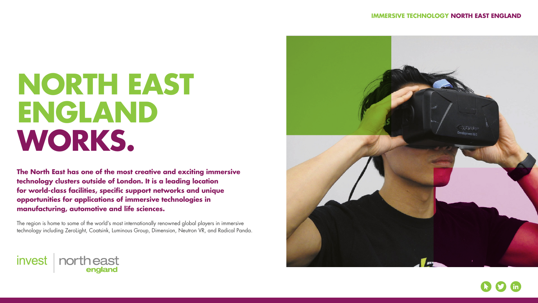#### **IMMERSIVE TECHNOLOGY NORTH EAST ENGLAND**









# **NORTH EAST ENGLAND WORKS.**

**The North East has one of the most creative and exciting immersive technology clusters outside of London. It is a leading location for world-class facilities, specific support networks and unique opportunities for applications of immersive technologies in manufacturing, automotive and life sciences.** 

The region is home to some of the world's most internationally renowned global players in immersive technology including ZeroLight, Coatsink, Luminous Group, Dimension, Neutron VR, and Radical Panda.

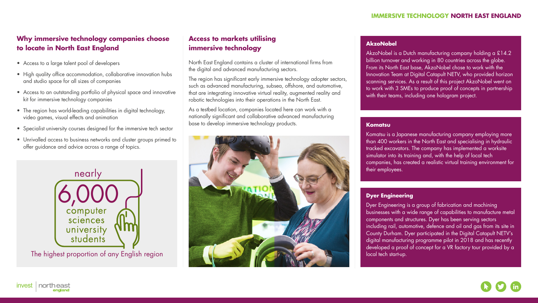#### **Why immersive technology companies choose to locate in North East England**

- Access to a large talent pool of developers
- High quality office accommodation, collaborative innovation hubs and studio space for all sizes of companies
- Access to an outstanding portfolio of physical space and innovative kit for immersive technology companies
- The region has world-leading capabilities in digital technology, video games, visual effects and animation
- Specialist university courses designed for the immersive tech sector
- Unrivalled access to business networks and cluster groups primed to offer guidance and advice across a range of topics.

#### **Access to markets utilising immersive technology**

North East England contains a cluster of international firms from the digital and advanced manufacturing sectors.

The region has significant early immersive technology adopter sectors, such as advanced manufacturing, subsea, offshore, and automotive, that are integrating innovative virtual reality, augmented reality and robotic technologies into their operations in the North East.

As a testbed location, companies located here can work with a nationally significant and collaborative advanced manufacturing base to develop immersive technology products.



invest | northeast england



The highest proportion of any English region

#### **AkzoNobel**

AkzoNobel is a Dutch manufacturing company holding a £14.2 billion turnover and working in 80 countries across the globe. From its North East base, AkzoNobel chose to work with the Innovation Team at Digital Catapult NETV, who provided horizon scanning services. As a result of this project AkzoNobel went on to work with 3 SMEs to produce proof of concepts in partnership with their teams, including one hologram project.

#### **Komatsu**

Komatsu is a Japanese manufacturing company employing more than 400 workers in the North East and specialising in hydraulic tracked excavators. The company has implemented a worksite simulator into its training and, with the help of local tech companies, has created a realistic virtual training environment for their employees.

#### **Dyer Engineering**

Dyer Engineering is a group of fabrication and machining businesses with a wide range of capabilities to manufacture metal components and structures. Dyer has been serving sectors including rail, automotive, defence and oil and gas from its site in County Durham. Dyer participated in the Digital Catapult NETV's digital manufacturing programme pilot in 2018 and has recently developed a proof of concept for a VR factory tour provided by a local tech start-up.









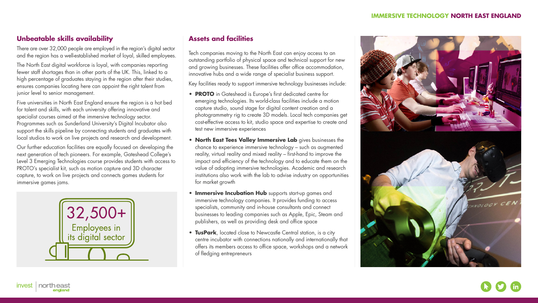#### **IMMERSIVE TECHNOLOGY NORTH EAST ENGLAND**

#### **Unbeatable skills availability**

There are over 32,000 people are employed in the region's digital sector and the region has a well-established market of loyal, skilled employees.

The North East digital workforce is loyal, with companies reporting fewer staff shortages than in other parts of the UK. This, linked to a high percentage of graduates staying in the region after their studies, ensures companies locating here can appoint the right talent from junior level to senior management.

Five universities in North East England ensure the region is a hot bed for talent and skills, with each university offering innovative and specialist courses aimed at the immersive technology sector. Programmes such as Sunderland University's Digital Incubator also support the skills pipeline by connecting students and graduates with local studios to work on live projects and research and development.

Our further education facilities are equally focused on developing the next generation of tech pioneers. For example, Gateshead College's Level 3 Emerging Technologies course provides students with access to PROTO's specialist kit, such as motion capture and 3D character capture, to work on live projects and connects games students for immersive games jams.

#### **Assets and facilities**

Tech companies moving to the North East can enjoy access to an outstanding portfolio of physical space and technical support for new and growing businesses. These facilities offer office accommodation, innovative hubs and a wide range of specialist business support.

Key facilities ready to support immersive technology businesses include:

**• PROTO** in Gateshead is Europe's first dedicated centre for emerging technologies. Its world-class facilities include a motion capture studio, sound stage for digital content creation and a photogrammetry rig to create 3D models. Local tech companies get cost-effective access to kit, studio space and expertise to create and

**• North East Tees Valley Immersive Lab** gives businesses the chance to experience immersive technology – such as augmented reality, virtual reality and mixed reality – first-hand to improve the impact and efficiency of the technology and to educate them on the value of adopting immersive technologies. Academic and research institutions also work with the lab to advise industry on opportunities

- test new immersive experiences
- for market growth
- 
- of fledging entrepreneurs

invest | northeast england

**• Immersive Incubation Hub** supports start-up games and immersive technology companies. It provides funding to access specialists, community and in-house consultants and connect businesses to leading companies such as Apple, Epic, Steam and publishers, as well as providing desk and office space

**• TusPark**, located close to Newcastle Central station, is a city centre incubator with connections nationally and internationally that offers its members access to office space, workshops and a network









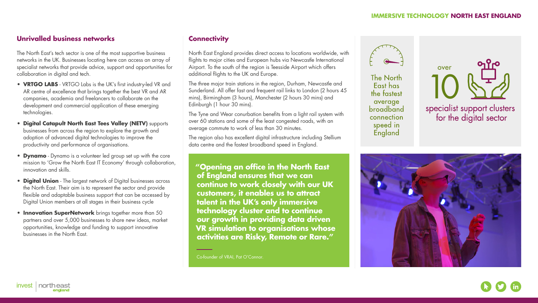#### **IMMERSIVE TECHNOLOGY NORTH EAST ENGLAND**



The North East has the fastest average broadband connection speed in England

#### **Unrivalled business networks**

The North East's tech sector is one of the most supportive business networks in the UK. Businesses locating here can access an array of specialist networks that provide advice, support and opportunities for collaboration in digital and tech.

- **• VRTGO LABS** VRTGO Labs is the UK's first industry-led VR and AR centre of excellence that brings together the best VR and AR companies, academia and freelancers to collaborate on the development and commercial application of these emerging technologies.
- **• Digital Catapult North East Tees Valley (NETV)** supports businesses from across the region to explore the growth and adoption of advanced digital technologies to improve the productivity and performance of organisations.
- **• Dynamo** Dynamo is a volunteer led group set up with the core mission to 'Grow the North East IT Economy' through collaboration, innovation and skills.
- **• Digital Union** The largest network of Digital businesses across the North East. Their aim is to represent the sector and provide flexible and adaptable business support that can be accessed by Digital Union members at all stages in their business cycle
- **Innovation SuperNetwork** brings together more than 50 partners and over 5,000 businesses to share new ideas, market opportunities, knowledge and funding to support innovative businesses in the North East.

#### **Connectivity**

North East England provides direct access to locations worldwide, with flights to major cities and European hubs via Newcastle International Airport. To the south of the region is Teesside Airport which offers additional flights to the UK and Europe.

The three major train stations in the region, Durham, Newcastle and Sunderland. All offer fast and frequent rail links to London (2 hours 45 mins), Birmingham (3 hours), Manchester (2 hours 30 mins) and Edinburgh (1 hour 30 mins).

The Tyne and Wear conurbation benefits from a light rail system with over 60 stations and some of the least congested roads, with an average commute to work of less than 30 minutes.

The region also has excellent digital infrastructure including Stellium data centre and the fastest broadband speed in England.

**"Opening an office in the North East of England ensures that we can continue to work closely with our UK customers, it enables us to attract talent in the UK's only immersive technology cluster and to continue our growth in providing data driven VR simulation to organisations whose activities are Risky, Remote or Rare."**

Co-founder of VRAI, Pat O'Connor.

invest | northeast england